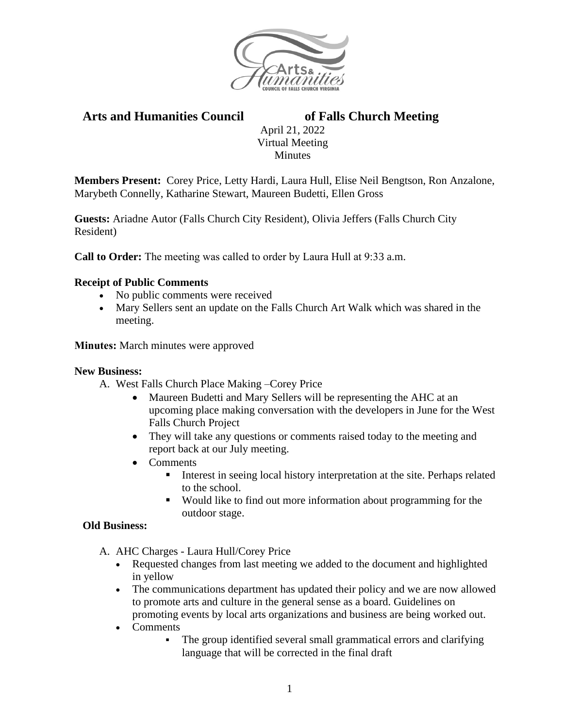

# **Arts and Humanities Council of Falls Church Meeting**

April 21, 2022 Virtual Meeting Minutes

**Members Present:** Corey Price, Letty Hardi, Laura Hull, Elise Neil Bengtson, Ron Anzalone, Marybeth Connelly, Katharine Stewart, Maureen Budetti, Ellen Gross

**Guests:** Ariadne Autor (Falls Church City Resident), Olivia Jeffers (Falls Church City Resident)

**Call to Order:** The meeting was called to order by Laura Hull at 9:33 a.m.

### **Receipt of Public Comments**

- No public comments were received
- Mary Sellers sent an update on the Falls Church Art Walk which was shared in the meeting.

**Minutes:** March minutes were approved

### **New Business:**

- A. West Falls Church Place Making –Corey Price
	- Maureen Budetti and Mary Sellers will be representing the AHC at an upcoming place making conversation with the developers in June for the West Falls Church Project
	- They will take any questions or comments raised today to the meeting and report back at our July meeting.
	- Comments
		- Interest in seeing local history interpretation at the site. Perhaps related to the school.
		- Would like to find out more information about programming for the outdoor stage.

### **Old Business:**

- A. AHC Charges Laura Hull/Corey Price
	- Requested changes from last meeting we added to the document and highlighted in yellow
	- The communications department has updated their policy and we are now allowed to promote arts and culture in the general sense as a board. Guidelines on promoting events by local arts organizations and business are being worked out.
	- Comments
		- The group identified several small grammatical errors and clarifying language that will be corrected in the final draft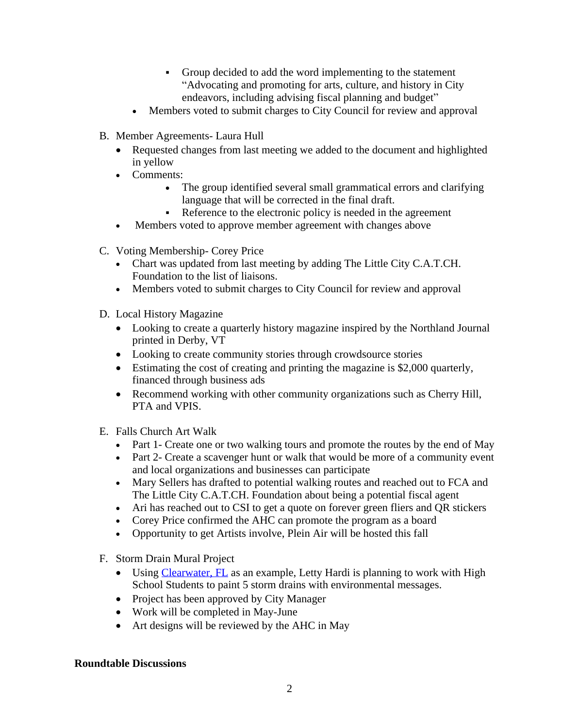- Group decided to add the word implementing to the statement "Advocating and promoting for arts, culture, and history in City endeavors, including advising fiscal planning and budget"
- Members voted to submit charges to City Council for review and approval
- B. Member Agreements- Laura Hull
	- Requested changes from last meeting we added to the document and highlighted in yellow
	- Comments:
		- The group identified several small grammatical errors and clarifying language that will be corrected in the final draft.
		- Reference to the electronic policy is needed in the agreement
	- Members voted to approve member agreement with changes above
- C. Voting Membership- Corey Price
	- Chart was updated from last meeting by adding The Little City C.A.T.CH. Foundation to the list of liaisons.
	- Members voted to submit charges to City Council for review and approval
- D. Local History Magazine
	- Looking to create a quarterly history magazine inspired by the Northland Journal printed in Derby, VT
	- Looking to create community stories through crowdsource stories
	- Estimating the cost of creating and printing the magazine is \$2,000 quarterly, financed through business ads
	- Recommend working with other community organizations such as Cherry Hill, PTA and VPIS.
- E. Falls Church Art Walk
	- Part 1- Create one or two walking tours and promote the routes by the end of May
	- Part 2- Create a scavenger hunt or walk that would be more of a community event and local organizations and businesses can participate
	- Mary Sellers has drafted to potential walking routes and reached out to FCA and The Little City C.A.T.CH. Foundation about being a potential fiscal agent
	- Ari has reached out to CSI to get a quote on forever green fliers and QR stickers
	- Corey Price confirmed the AHC can promote the program as a board
	- Opportunity to get Artists involve, Plein Air will be hosted this fall
- F. Storm Drain Mural Project
	- Using [Clearwater, FL](https://www.myclearwater.com/residents/neighborhood-services/clearwater-placemaking-hub/storm-drain-mural-program) as an example, Letty Hardi is planning to work with High School Students to paint 5 storm drains with environmental messages.
	- Project has been approved by City Manager
	- Work will be completed in May-June
	- Art designs will be reviewed by the AHC in May

# **Roundtable Discussions**